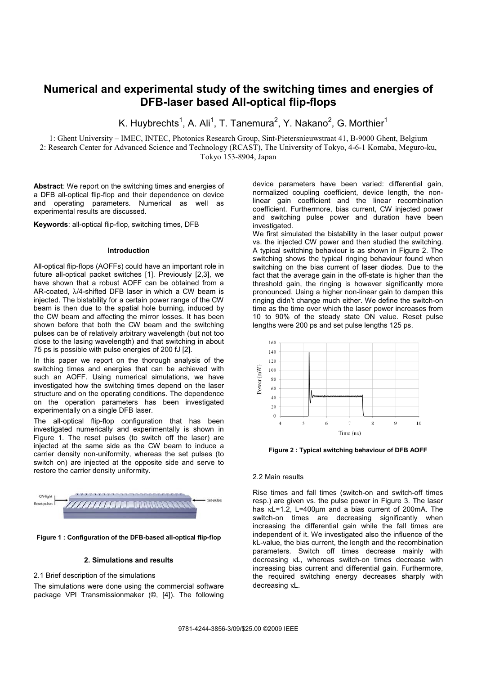# **Numerical and experimental study of the switching times and energies of DFB-laser based All-optical flip-flops**

K. Huybrechts<sup>1</sup>, A. Ali<sup>1</sup>, T. Tanemura<sup>2</sup>, Y. Nakano<sup>2</sup>, G. Morthier<sup>1</sup>

1: Ghent University – IMEC, INTEC, Photonics Research Group, Sint-Pietersnieuwstraat 41, B-9000 Ghent, Belgium

2: Research Center for Advanced Science and Technology (RCAST), The University of Tokyo, 4-6-1 Komaba, Meguro-ku, Tokyo 153-8904, Japan

**Abstract**: We report on the switching times and energies of a DFB all-optical flip-flop and their dependence on device and operating parameters. Numerical as well as experimental results are discussed.

**Keywords**: all-optical flip-flop, switching times, DFB

## **Introduction**

All-optical flip-flops (AOFFs) could have an important role in future all-optical packet switches [1]. Previously [2,3], we have shown that a robust AOFF can be obtained from a AR-coated, λ/4-shifted DFB laser in which a CW beam is injected. The bistability for a certain power range of the CW beam is then due to the spatial hole burning, induced by the CW beam and affecting the mirror losses. It has been shown before that both the CW beam and the switching pulses can be of relatively arbitrary wavelength (but not too close to the lasing wavelength) and that switching in about 75 ps is possible with pulse energies of 200 fJ [2].

In this paper we report on the thorough analysis of the switching times and energies that can be achieved with such an AOFF. Using numerical simulations, we have investigated how the switching times depend on the laser structure and on the operating conditions. The dependence on the operation parameters has been investigated experimentally on a single DFB laser.

The all-optical flip-flop configuration that has been investigated numerically and experimentally is shown in Figure 1. The reset pulses (to switch off the laser) are injected at the same side as the CW beam to induce a carrier density non-uniformity, whereas the set pulses (to switch on) are injected at the opposite side and serve to restore the carrier density uniformity.





## **2. Simulations and results**

2.1 Brief description of the simulations

The simulations were done using the commercial software package VPI Transmissionmaker (©, [4]). The following device parameters have been varied: differential gain, normalized coupling coefficient, device length, the nonlinear gain coefficient and the linear recombination coefficient. Furthermore, bias current, CW injected power and switching pulse power and duration have been investigated.

We first simulated the bistability in the laser output power vs. the injected CW power and then studied the switching. A typical switching behaviour is as shown in Figure 2. The switching shows the typical ringing behaviour found when switching on the bias current of laser diodes. Due to the fact that the average gain in the off-state is higher than the threshold gain, the ringing is however significantly more pronounced. Using a higher non-linear gain to dampen this ringing didn't change much either. We define the switch-on time as the time over which the laser power increases from 10 to 90% of the steady state ON value. Reset pulse lengths were 200 ps and set pulse lengths 125 ps.



**Figure 2 : Typical switching behaviour of DFB AOFF** 

## 2.2 Main results

Rise times and fall times (switch-on and switch-off times resp.) are given vs. the pulse power in Figure 3. The laser has κL=1.2, L=400μm and a bias current of 200mA. The switch-on times are decreasing significantly when increasing the differential gain while the fall times are independent of it. We investigated also the influence of the kL-value, the bias current, the length and the recombination parameters. Switch off times decrease mainly with decreasing κL, whereas switch-on times decrease with increasing bias current and differential gain. Furthermore, the required switching energy decreases sharply with decreasing κL.